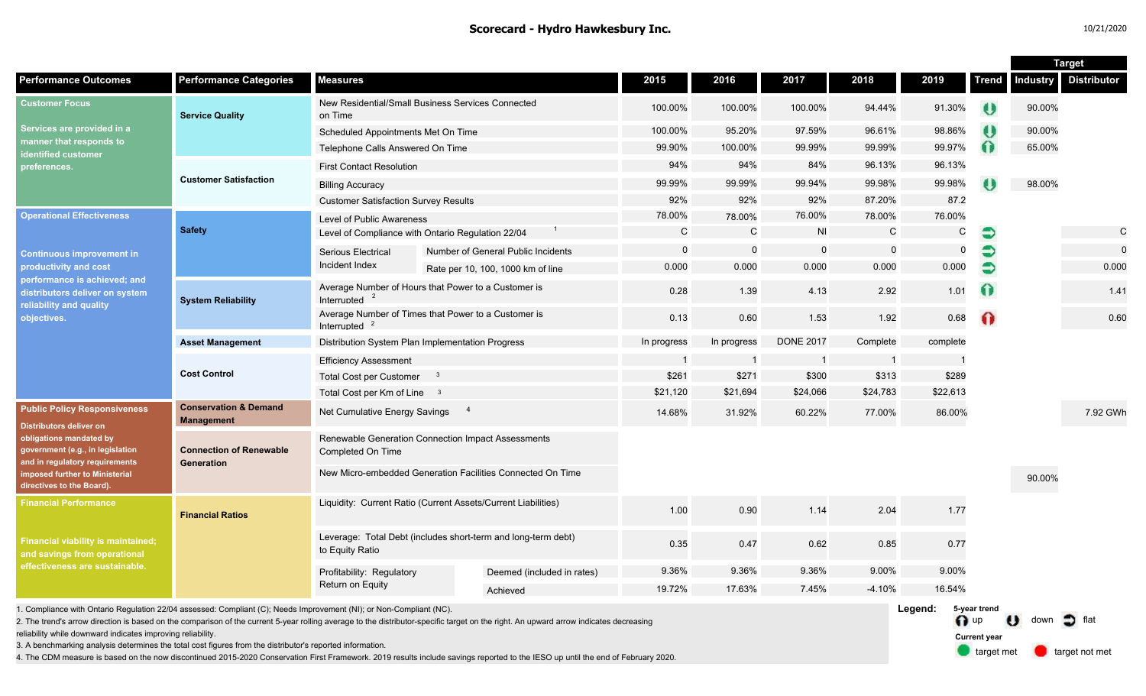#### **Scorecard - Hydro Hawkesbury Inc.** 10/21/2020

n up U down of flat

**Current year**

target met **target not met** 

|                                                                                                                                                                                                                               |                                                       |                                                                                  |  |                                    |              |             |                  |                |          |                       | <b>Target</b>   |                    |
|-------------------------------------------------------------------------------------------------------------------------------------------------------------------------------------------------------------------------------|-------------------------------------------------------|----------------------------------------------------------------------------------|--|------------------------------------|--------------|-------------|------------------|----------------|----------|-----------------------|-----------------|--------------------|
| <b>Performance Outcomes</b>                                                                                                                                                                                                   | <b>Performance Categories</b>                         | <b>Measures</b>                                                                  |  |                                    | 2015         | 2016        | 2017             | 2018           | 2019     | <b>Trend</b>          | <b>Industry</b> | <b>Distributor</b> |
| <b>Customer Focus</b><br>Services are provided in a<br>manner that responds to<br>dentified customer<br>preferences.                                                                                                          | <b>Service Quality</b>                                | New Residential/Small Business Services Connected<br>on Time                     |  |                                    | 100.00%      | 100.00%     | 100.00%          | 94.44%         | 91.30%   | $\boldsymbol{\theta}$ | 90.00%          |                    |
|                                                                                                                                                                                                                               |                                                       | Scheduled Appointments Met On Time                                               |  |                                    | 100.00%      | 95.20%      | 97.59%           | 96.61%         | 98.86%   | $\boldsymbol{\theta}$ | 90.00%          |                    |
|                                                                                                                                                                                                                               |                                                       | Telephone Calls Answered On Time                                                 |  |                                    | 99.90%       | 100.00%     | 99.99%           | 99.99%         | 99.97%   | $\Omega$              | 65.00%          |                    |
|                                                                                                                                                                                                                               |                                                       | <b>First Contact Resolution</b>                                                  |  |                                    | 94%          | 94%         | 84%              | 96.13%         | 96.13%   |                       |                 |                    |
|                                                                                                                                                                                                                               | <b>Customer Satisfaction</b>                          | <b>Billing Accuracy</b>                                                          |  |                                    | 99.99%       | 99.99%      | 99.94%           | 99.98%         | 99.98%   | 0                     | 98.00%          |                    |
|                                                                                                                                                                                                                               |                                                       | <b>Customer Satisfaction Survey Results</b>                                      |  | 92%                                | 92%          | 92%         | 87.20%           | 87.2           |          |                       |                 |                    |
| <b>Operational Effectiveness</b>                                                                                                                                                                                              | <b>Safety</b>                                         | Level of Public Awareness                                                        |  |                                    | 78.00%       | 78.00%      | 76.00%           | 78.00%         | 76.00%   |                       |                 |                    |
|                                                                                                                                                                                                                               |                                                       | Level of Compliance with Ontario Regulation 22/04                                |  | $\mathsf{C}$                       | $\mathsf{C}$ | <b>NI</b>   | $\mathsf C$      | C              | €        |                       | $\mathsf{C}$    |                    |
| <b>Continuous improvement in</b><br>productivity and cost<br>performance is achieved; and<br>distributors deliver on system<br>reliability and quality<br>objectives.                                                         |                                                       | Serious Electrical                                                               |  | Number of General Public Incidents | $\mathbf 0$  | $\Omega$    | $\mathbf 0$      | $\mathbf 0$    | $\Omega$ | €                     |                 |                    |
|                                                                                                                                                                                                                               |                                                       | Incident Index                                                                   |  | Rate per 10, 100, 1000 km of line  | 0.000        | 0.000       | 0.000            | 0.000          | 0.000    |                       |                 | 0.000              |
|                                                                                                                                                                                                                               | <b>System Reliability</b>                             | Average Number of Hours that Power to a Customer is<br>Interrupted               |  |                                    | 0.28         | 1.39        | 4.13             | 2.92           | 1.01     | $\Omega$              |                 | 1.41               |
|                                                                                                                                                                                                                               |                                                       | Average Number of Times that Power to a Customer is<br>Interrupted               |  | 0.13                               | 0.60         | 1.53        | 1.92             | 0.68           | $\Omega$ |                       | 0.60            |                    |
|                                                                                                                                                                                                                               | <b>Asset Management</b>                               | Distribution System Plan Implementation Progress                                 |  |                                    | In progress  | In progress | <b>DONE 2017</b> | Complete       | complete |                       |                 |                    |
|                                                                                                                                                                                                                               | <b>Cost Control</b>                                   | <b>Efficiency Assessment</b>                                                     |  |                                    |              |             | -1               | $\overline{1}$ |          |                       |                 |                    |
|                                                                                                                                                                                                                               |                                                       | <b>Total Cost per Customer</b><br>$\overline{\mathbf{3}}$                        |  |                                    | \$261        | \$271       | \$300            | \$313          | \$289    |                       |                 |                    |
|                                                                                                                                                                                                                               |                                                       | Total Cost per Km of Line 3                                                      |  |                                    | \$21,120     | \$21,694    | \$24,066         | \$24,783       | \$22,613 |                       |                 |                    |
| <b>Public Policy Responsiveness</b><br>Distributors deliver on<br>obligations mandated by<br>government (e.g., in legislation<br>and in regulatory requirements<br>mposed further to Ministerial<br>directives to the Board). | <b>Conservation &amp; Demand</b><br><b>Management</b> | $\overline{4}$<br>Net Cumulative Energy Savings                                  |  |                                    | 14.68%       | 31.92%      | 60.22%           | 77.00%         | 86.00%   |                       |                 | 7.92 GWh           |
|                                                                                                                                                                                                                               | <b>Connection of Renewable</b><br>Generation          | Renewable Generation Connection Impact Assessments<br>Completed On Time          |  |                                    |              |             |                  |                |          |                       |                 |                    |
|                                                                                                                                                                                                                               |                                                       | New Micro-embedded Generation Facilities Connected On Time                       |  |                                    |              |             |                  |                |          |                       | 90.00%          |                    |
| <b>Financial Performance</b><br><b>Financial viability is maintained;</b><br>and savings from operational<br>effectiveness are sustainable.                                                                                   | <b>Financial Ratios</b>                               | Liquidity: Current Ratio (Current Assets/Current Liabilities)                    |  |                                    | 1.00         | 0.90        | 1.14             | 2.04           | 1.77     |                       |                 |                    |
|                                                                                                                                                                                                                               |                                                       | Leverage: Total Debt (includes short-term and long-term debt)<br>to Equity Ratio |  |                                    | 0.35         | 0.47        | 0.62             | 0.85           | 0.77     |                       |                 |                    |
|                                                                                                                                                                                                                               |                                                       | Profitability: Regulatory<br>Return on Equity                                    |  | Deemed (included in rates)         | 9.36%        | 9.36%       | 9.36%            | 9.00%          | 9.00%    |                       |                 |                    |
|                                                                                                                                                                                                                               |                                                       |                                                                                  |  | Achieved                           | 19.72%       | 17.63%      | 7.45%            | $-4.10%$       | 16.54%   |                       |                 |                    |
| 1. Compliance with Ontario Regulation 22/04 assessed: Compliant (C); Needs Improvement (NI); or Non-Compliant (NC).                                                                                                           |                                                       | Legend:<br>5-year trend                                                          |  |                                    |              |             |                  |                |          |                       |                 |                    |

2. The trend's arrow direction is based on the comparison of the current 5-year rolling average to the distributor-specific target on the right. An upward arrow indicates decreasing

reliability while downward indicates improving reliability.

3. A benchmarking analysis determines the total cost figures from the distributor's reported information.

4. The CDM measure is based on the now discontinued 2015-2020 Conservation First Framework. 2019 results include savings reported to the IESO up until the end of February 2020.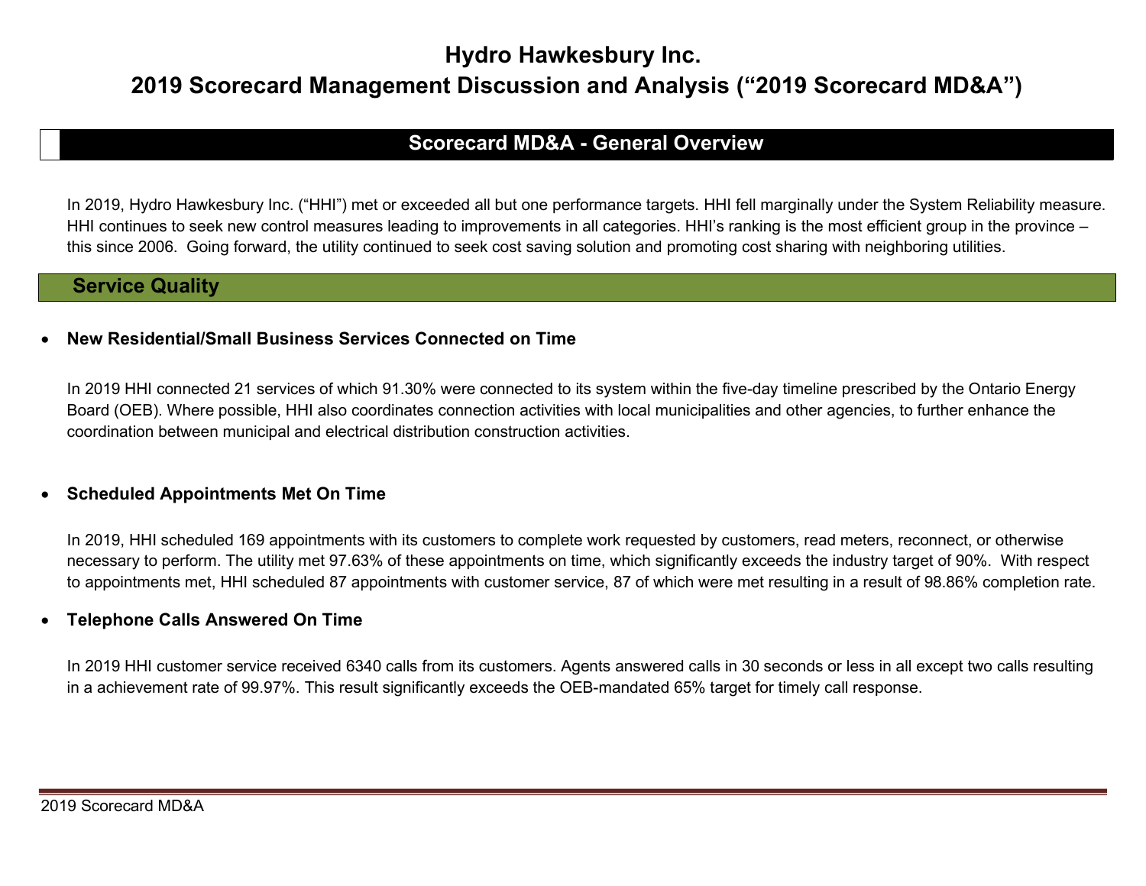# Hydro Hawkesbury Inc.

# 2019 Scorecard Management Discussion and Analysis ("2019 Scorecard MD&A")

# Scorecard MD&A - General Overview

In 2019, Hydro Hawkesbury Inc. ("HHI") met or exceeded all but one performance targets. HHI fell marginally under the System Reliability measure. HHI continues to seek new control measures leading to improvements in all categories. HHI's ranking is the most efficient group in the province – this since 2006. Going forward, the utility continued to seek cost saving solution and promoting cost sharing with neighboring utilities.

### Service Quality

#### New Residential/Small Business Services Connected on Time

In 2019 HHI connected 21 services of which 91.30% were connected to its system within the five-day timeline prescribed by the Ontario Energy Board (OEB). Where possible, HHI also coordinates connection activities with local municipalities and other agencies, to further enhance the coordination between municipal and electrical distribution construction activities.

#### • Scheduled Appointments Met On Time

In 2019, HHI scheduled 169 appointments with its customers to complete work requested by customers, read meters, reconnect, or otherwise necessary to perform. The utility met 97.63% of these appointments on time, which significantly exceeds the industry target of 90%. With respect to appointments met, HHI scheduled 87 appointments with customer service, 87 of which were met resulting in a result of 98.86% completion rate.

#### Telephone Calls Answered On Time

In 2019 HHI customer service received 6340 calls from its customers. Agents answered calls in 30 seconds or less in all except two calls resulting in a achievement rate of 99.97%. This result significantly exceeds the OEB-mandated 65% target for timely call response.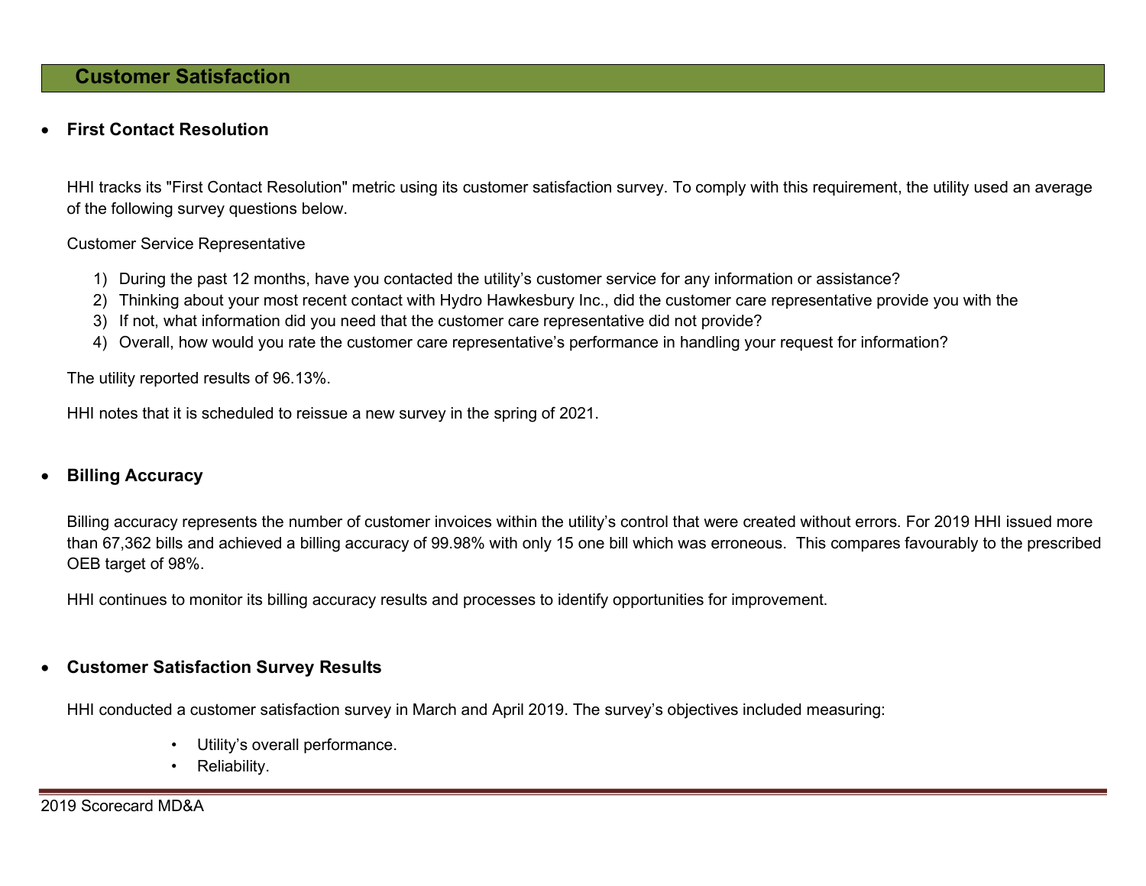## Customer Satisfaction

#### First Contact Resolution

HHI tracks its "First Contact Resolution" metric using its customer satisfaction survey. To comply with this requirement, the utility used an average of the following survey questions below.

#### Customer Service Representative

- 1) During the past 12 months, have you contacted the utility's customer service for any information or assistance?
- 2) Thinking about your most recent contact with Hydro Hawkesbury Inc., did the customer care representative provide you with the
- 3) If not, what information did you need that the customer care representative did not provide?
- 4) Overall, how would you rate the customer care representative's performance in handling your request for information?

The utility reported results of 96.13%.

HHI notes that it is scheduled to reissue a new survey in the spring of 2021.

#### Billing Accuracy

Billing accuracy represents the number of customer invoices within the utility's control that were created without errors. For 2019 HHI issued more than 67,362 bills and achieved a billing accuracy of 99.98% with only 15 one bill which was erroneous. This compares favourably to the prescribed OEB target of 98%.

HHI continues to monitor its billing accuracy results and processes to identify opportunities for improvement.

#### Customer Satisfaction Survey Results

HHI conducted a customer satisfaction survey in March and April 2019. The survey's objectives included measuring:

- Utility's overall performance.
- Reliability.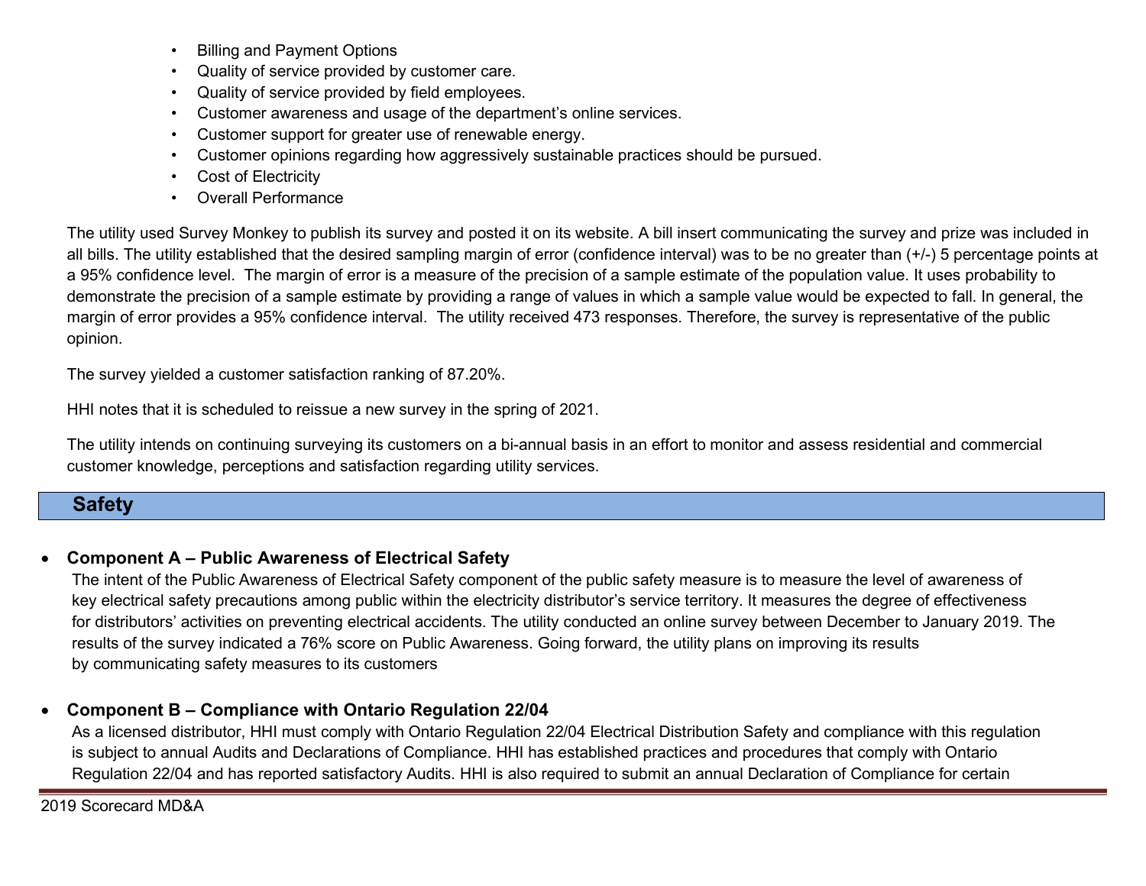- Billing and Payment Options
- Quality of service provided by customer care.
- Quality of service provided by field employees.
- Customer awareness and usage of the department's online services.
- Customer support for greater use of renewable energy.
- Customer opinions regarding how aggressively sustainable practices should be pursued.
- Cost of Electricity
- Overall Performance

The utility used Survey Monkey to publish its survey and posted it on its website. A bill insert communicating the survey and prize was included in all bills. The utility established that the desired sampling margin of error (confidence interval) was to be no greater than (+/-) 5 percentage points at a 95% confidence level. The margin of error is a measure of the precision of a sample estimate of the population value. It uses probability to demonstrate the precision of a sample estimate by providing a range of values in which a sample value would be expected to fall. In general, the margin of error provides a 95% confidence interval. The utility received 473 responses. Therefore, the survey is representative of the public opinion.

The survey yielded a customer satisfaction ranking of 87.20%.

HHI notes that it is scheduled to reissue a new survey in the spring of 2021.

The utility intends on continuing surveying its customers on a bi-annual basis in an effort to monitor and assess residential and commercial customer knowledge, perceptions and satisfaction regarding utility services.

# **Safety**

### Component A – Public Awareness of Electrical Safety

The intent of the Public Awareness of Electrical Safety component of the public safety measure is to measure the level of awareness of key electrical safety precautions among public within the electricity distributor's service territory. It measures the degree of effectiveness for distributors' activities on preventing electrical accidents. The utility conducted an online survey between December to January 2019. The results of the survey indicated a 76% score on Public Awareness. Going forward, the utility plans on improving its results by communicating safety measures to its customers

### Component B – Compliance with Ontario Regulation 22/04

As a licensed distributor, HHI must comply with Ontario Regulation 22/04 Electrical Distribution Safety and compliance with this regulation is subject to annual Audits and Declarations of Compliance. HHI has established practices and procedures that comply with Ontario Regulation 22/04 and has reported satisfactory Audits. HHI is also required to submit an annual Declaration of Compliance for certain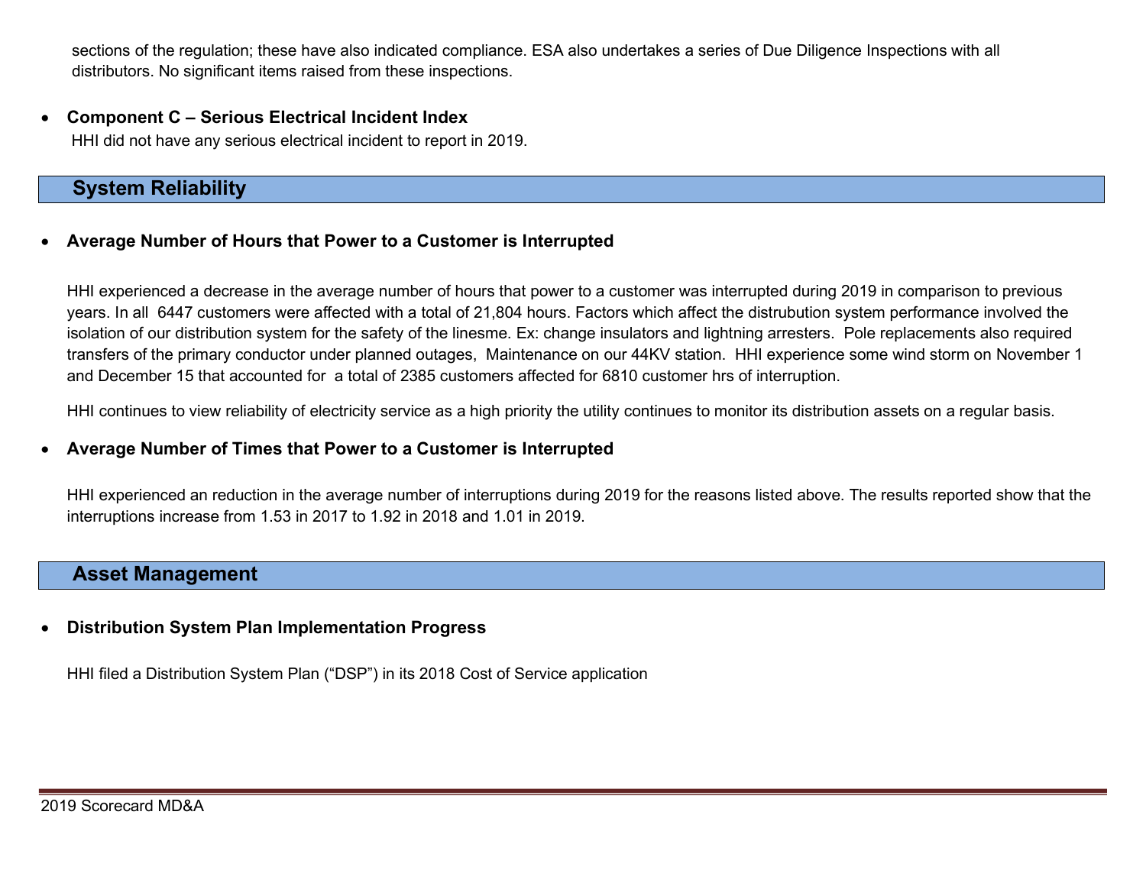sections of the regulation; these have also indicated compliance. ESA also undertakes a series of Due Diligence Inspections with all distributors. No significant items raised from these inspections.

 Component C – Serious Electrical Incident Index HHI did not have any serious electrical incident to report in 2019.

# System Reliability

#### Average Number of Hours that Power to a Customer is Interrupted

HHI experienced a decrease in the average number of hours that power to a customer was interrupted during 2019 in comparison to previous years. In all 6447 customers were affected with a total of 21,804 hours. Factors which affect the distrubution system performance involved the isolation of our distribution system for the safety of the linesme. Ex: change insulators and lightning arresters. Pole replacements also required transfers of the primary conductor under planned outages, Maintenance on our 44KV station. HHI experience some wind storm on November 1 and December 15 that accounted for a total of 2385 customers affected for 6810 customer hrs of interruption.

HHI continues to view reliability of electricity service as a high priority the utility continues to monitor its distribution assets on a regular basis.

#### Average Number of Times that Power to a Customer is Interrupted

HHI experienced an reduction in the average number of interruptions during 2019 for the reasons listed above. The results reported show that the interruptions increase from 1.53 in 2017 to 1.92 in 2018 and 1.01 in 2019.

### Asset Management

#### Distribution System Plan Implementation Progress

HHI filed a Distribution System Plan ("DSP") in its 2018 Cost of Service application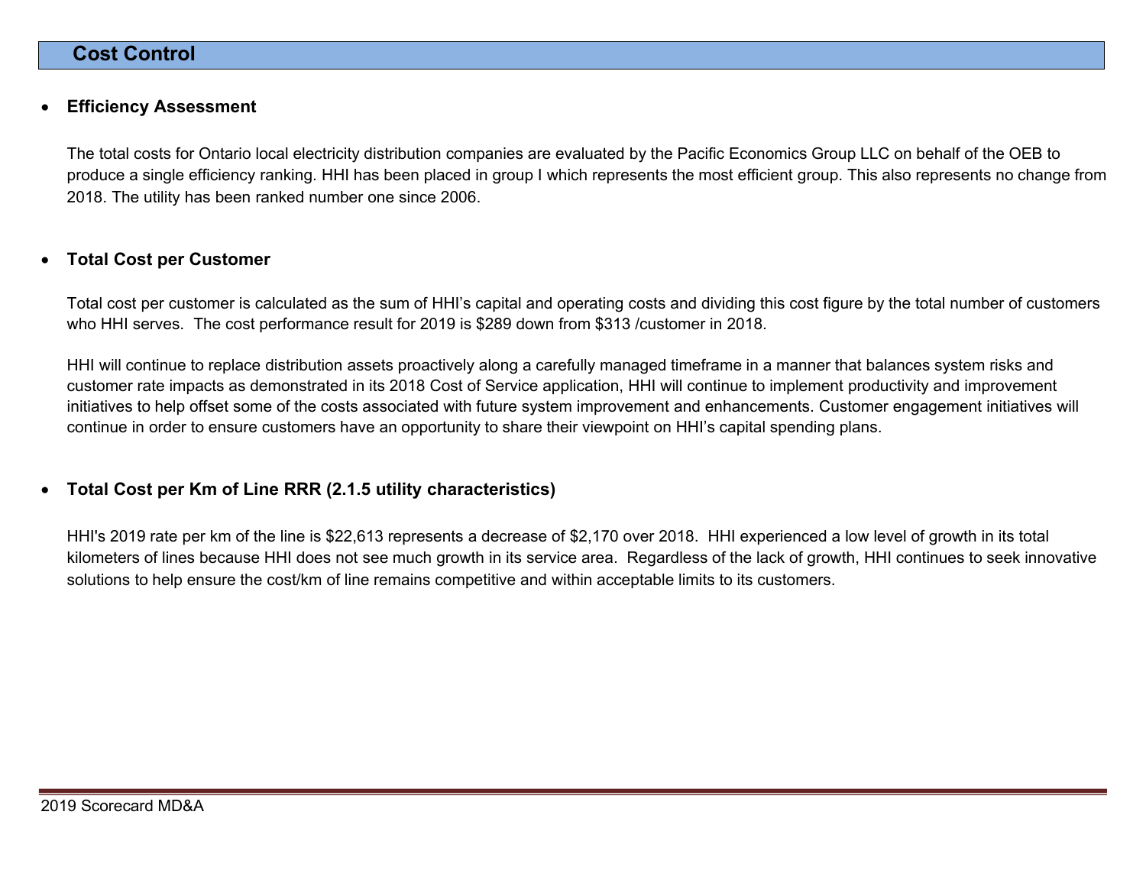### Cost Control

#### Efficiency Assessment

The total costs for Ontario local electricity distribution companies are evaluated by the Pacific Economics Group LLC on behalf of the OEB to produce a single efficiency ranking. HHI has been placed in group I which represents the most efficient group. This also represents no change from 2018. The utility has been ranked number one since 2006.

#### Total Cost per Customer

Total cost per customer is calculated as the sum of HHI's capital and operating costs and dividing this cost figure by the total number of customers who HHI serves. The cost performance result for 2019 is \$289 down from \$313 /customer in 2018.

HHI will continue to replace distribution assets proactively along a carefully managed timeframe in a manner that balances system risks and customer rate impacts as demonstrated in its 2018 Cost of Service application, HHI will continue to implement productivity and improvement initiatives to help offset some of the costs associated with future system improvement and enhancements. Customer engagement initiatives will continue in order to ensure customers have an opportunity to share their viewpoint on HHI's capital spending plans.

#### Total Cost per Km of Line RRR (2.1.5 utility characteristics)

HHI's 2019 rate per km of the line is \$22,613 represents a decrease of \$2,170 over 2018. HHI experienced a low level of growth in its total kilometers of lines because HHI does not see much growth in its service area. Regardless of the lack of growth, HHI continues to seek innovative solutions to help ensure the cost/km of line remains competitive and within acceptable limits to its customers.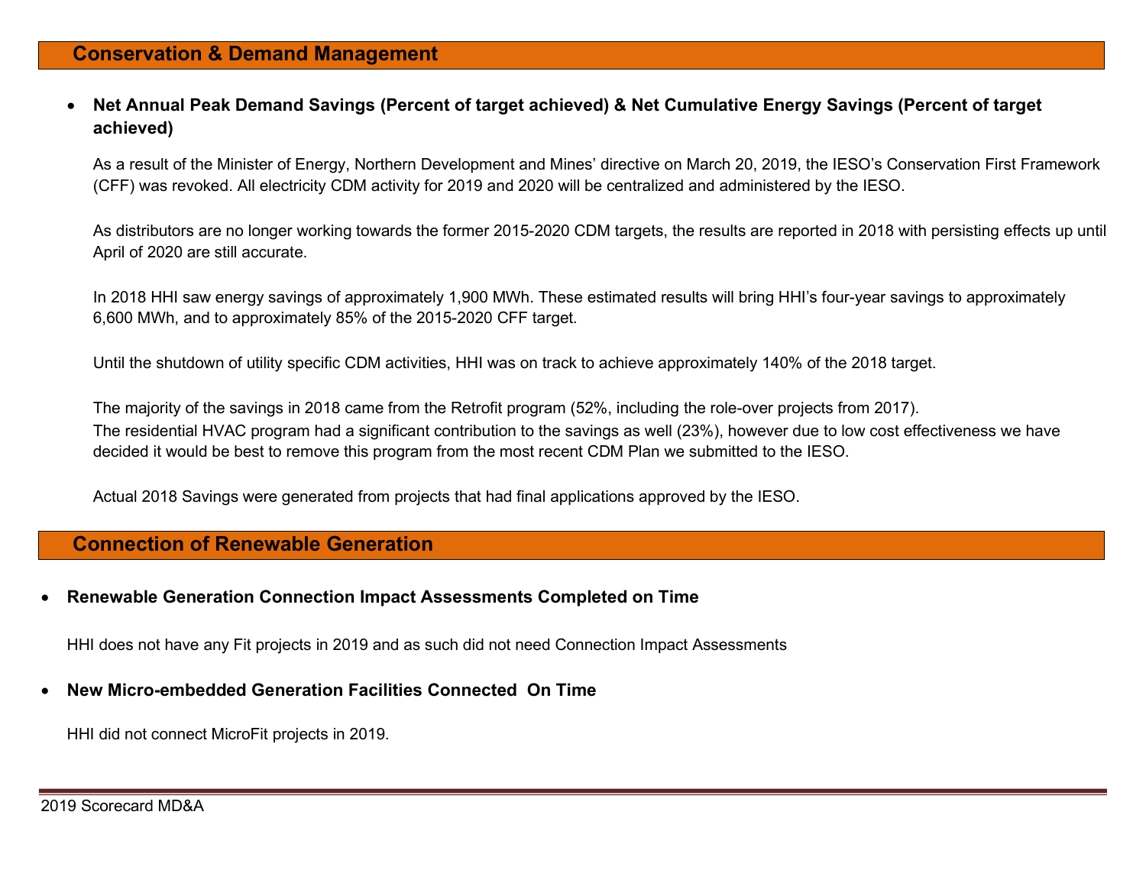Net Annual Peak Demand Savings (Percent of target achieved) & Net Cumulative Energy Savings (Percent of target achieved)

As a result of the Minister of Energy, Northern Development and Mines' directive on March 20, 2019, the IESO's Conservation First Framework (CFF) was revoked. All electricity CDM activity for 2019 and 2020 will be centralized and administered by the IESO.

As distributors are no longer working towards the former 2015-2020 CDM targets, the results are reported in 2018 with persisting effects up until April of 2020 are still accurate.

In 2018 HHI saw energy savings of approximately 1,900 MWh. These estimated results will bring HHI's four-year savings to approximately 6,600 MWh, and to approximately 85% of the 2015-2020 CFF target.

Until the shutdown of utility specific CDM activities, HHI was on track to achieve approximately 140% of the 2018 target.

The majority of the savings in 2018 came from the Retrofit program (52%, including the role-over projects from 2017). The residential HVAC program had a significant contribution to the savings as well (23%), however due to low cost effectiveness we have decided it would be best to remove this program from the most recent CDM Plan we submitted to the IESO.

Actual 2018 Savings were generated from projects that had final applications approved by the IESO.

### Connection of Renewable Generation

#### Renewable Generation Connection Impact Assessments Completed on Time

HHI does not have any Fit projects in 2019 and as such did not need Connection Impact Assessments

New Micro-embedded Generation Facilities Connected On Time

HHI did not connect MicroFit projects in 2019.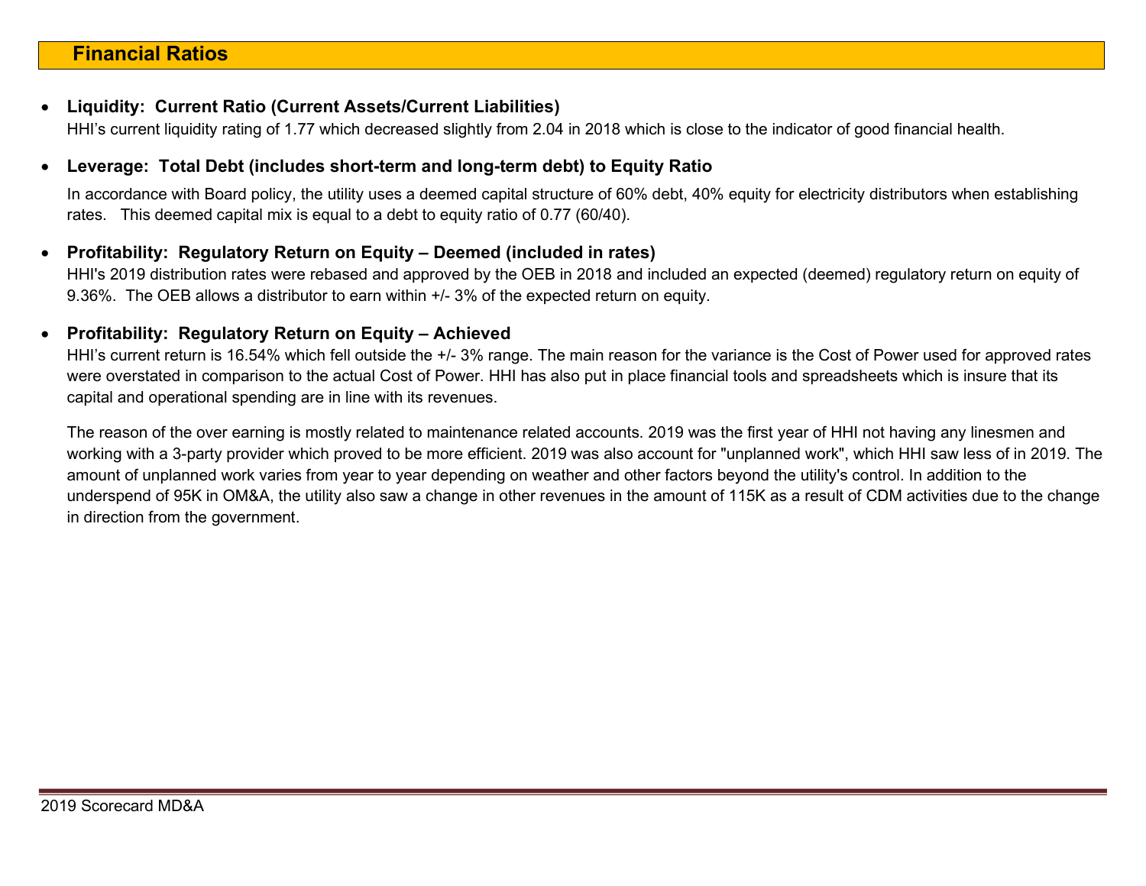#### Liquidity: Current Ratio (Current Assets/Current Liabilities)

HHI's current liquidity rating of 1.77 which decreased slightly from 2.04 in 2018 which is close to the indicator of good financial health.

#### Leverage: Total Debt (includes short-term and long-term debt) to Equity Ratio

In accordance with Board policy, the utility uses a deemed capital structure of 60% debt, 40% equity for electricity distributors when establishing rates. This deemed capital mix is equal to a debt to equity ratio of 0.77 (60/40).

#### Profitability: Regulatory Return on Equity – Deemed (included in rates)

HHI's 2019 distribution rates were rebased and approved by the OEB in 2018 and included an expected (deemed) regulatory return on equity of 9.36%. The OEB allows a distributor to earn within +/- 3% of the expected return on equity.

#### • Profitability: Regulatory Return on Equity - Achieved

HHI's current return is 16.54% which fell outside the +/- 3% range. The main reason for the variance is the Cost of Power used for approved rates were overstated in comparison to the actual Cost of Power. HHI has also put in place financial tools and spreadsheets which is insure that its capital and operational spending are in line with its revenues.

The reason of the over earning is mostly related to maintenance related accounts. 2019 was the first year of HHI not having any linesmen and working with a 3-party provider which proved to be more efficient. 2019 was also account for "unplanned work", which HHI saw less of in 2019. The amount of unplanned work varies from year to year depending on weather and other factors beyond the utility's control. In addition to the underspend of 95K in OM&A, the utility also saw a change in other revenues in the amount of 115K as a result of CDM activities due to the change in direction from the government.